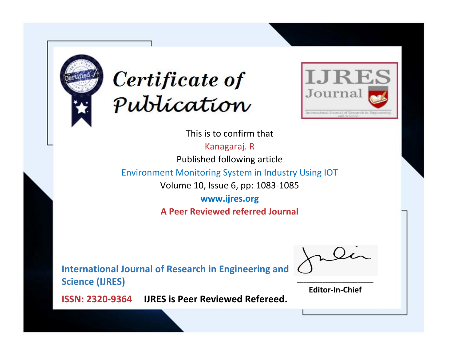



This is to confirm that Kanagaraj. R Published following article Environment Monitoring System in Industry Using IOT Volume 10, Issue 6, pp: 1083-1085 **www.ijres.org**

**A Peer Reviewed referred Journal**

**International Journal of Research in Engineering and Science (IJRES)**

\_\_\_\_\_\_\_\_\_\_\_\_\_\_\_\_\_\_\_\_\_\_\_\_ **Editor-In-Chief**

**Journal.**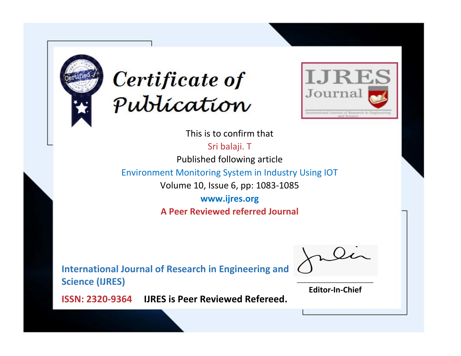



This is to confirm that

Sri balaji. T Published following article

Environment Monitoring System in Industry Using IOT

Volume 10, Issue 6, pp: 1083-1085

**www.ijres.org A Peer Reviewed referred Journal**

**International Journal of Research in Engineering and Science (IJRES)**

\_\_\_\_\_\_\_\_\_\_\_\_\_\_\_\_\_\_\_\_\_\_\_\_ **Editor-In-Chief**

**Journal.**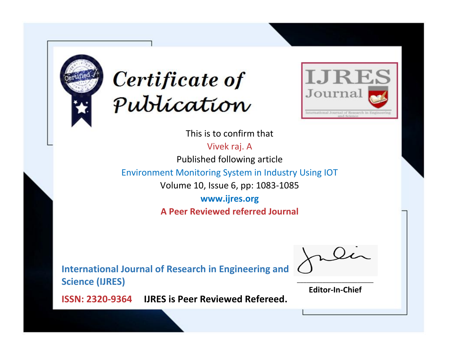



This is to confirm that

Vivek raj. A Published following article

Environment Monitoring System in Industry Using IOT

Volume 10, Issue 6, pp: 1083-1085

**www.ijres.org A Peer Reviewed referred Journal**

**International Journal of Research in Engineering and Science (IJRES)**

\_\_\_\_\_\_\_\_\_\_\_\_\_\_\_\_\_\_\_\_\_\_\_\_ **Editor-In-Chief**

**Journal.**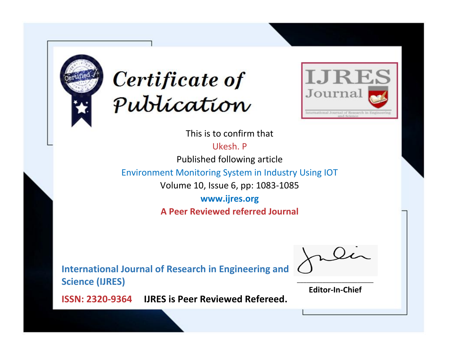



This is to confirm that

Ukesh. P

Published following article

Environment Monitoring System in Industry Using IOT

Volume 10, Issue 6, pp: 1083-1085

**www.ijres.org A Peer Reviewed referred Journal**

**International Journal of Research in Engineering and Science (IJRES)**

\_\_\_\_\_\_\_\_\_\_\_\_\_\_\_\_\_\_\_\_\_\_\_\_ **Editor-In-Chief**

**Journal.**